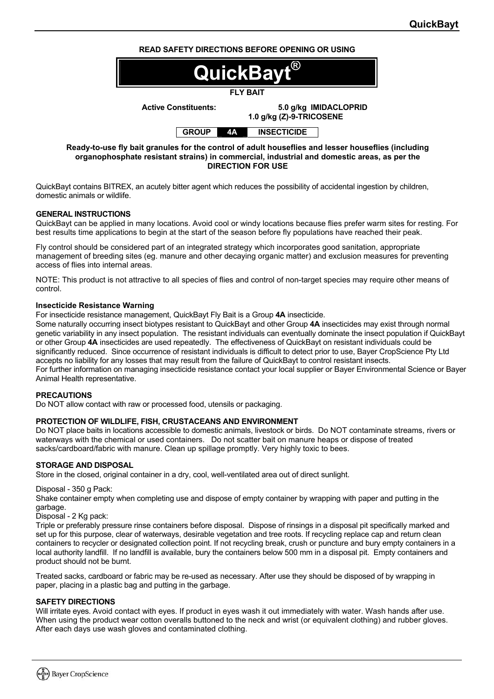## **READ SAFETY DIRECTIONS BEFORE OPENING OR USING**



 **1.0 g/kg (Z)-9-TRICOSENE** 

**GROUP 4A INSECTICIDE** 

**Ready-to-use fly bait granules for the control of adult houseflies and lesser houseflies (including organophosphate resistant strains) in commercial, industrial and domestic areas, as per the DIRECTION FOR USE** 

QuickBayt contains BITREX, an acutely bitter agent which reduces the possibility of accidental ingestion by children, domestic animals or wildlife.

### **GENERAL INSTRUCTIONS**

QuickBayt can be applied in many locations. Avoid cool or windy locations because flies prefer warm sites for resting. For best results time applications to begin at the start of the season before fly populations have reached their peak.

Fly control should be considered part of an integrated strategy which incorporates good sanitation, appropriate management of breeding sites (eg. manure and other decaying organic matter) and exclusion measures for preventing access of flies into internal areas.

NOTE: This product is not attractive to all species of flies and control of non-target species may require other means of control.

#### **Insecticide Resistance Warning**

For insecticide resistance management, QuickBayt Fly Bait is a Group **4A** insecticide.

Some naturally occurring insect biotypes resistant to QuickBayt and other Group **4A** insecticides may exist through normal genetic variability in any insect population. The resistant individuals can eventually dominate the insect population if QuickBayt or other Group **4A** insecticides are used repeatedly. The effectiveness of QuickBayt on resistant individuals could be significantly reduced. Since occurrence of resistant individuals is difficult to detect prior to use, Bayer CropScience Pty Ltd accepts no liability for any losses that may result from the failure of QuickBayt to control resistant insects. For further information on managing insecticide resistance contact your local supplier or Bayer Environmental Science or Bayer Animal Health representative.

## **PRECAUTIONS**

Do NOT allow contact with raw or processed food, utensils or packaging.

#### **PROTECTION OF WILDLIFE, FISH, CRUSTACEANS AND ENVIRONMENT**

Do NOT place baits in locations accessible to domestic animals, livestock or birds. Do NOT contaminate streams, rivers or waterways with the chemical or used containers. Do not scatter bait on manure heaps or dispose of treated sacks/cardboard/fabric with manure. Clean up spillage promptly. Very highly toxic to bees.

#### **STORAGE AND DISPOSAL**

Store in the closed, original container in a dry, cool, well-ventilated area out of direct sunlight.

#### Disposal - 350 g Pack:

Shake container empty when completing use and dispose of empty container by wrapping with paper and putting in the garbage.

Disposal - 2 Kg pack:

Triple or preferably pressure rinse containers before disposal. Dispose of rinsings in a disposal pit specifically marked and set up for this purpose, clear of waterways, desirable vegetation and tree roots. If recycling replace cap and return clean containers to recycler or designated collection point. If not recycling break, crush or puncture and bury empty containers in a local authority landfill. If no landfill is available, bury the containers below 500 mm in a disposal pit. Empty containers and product should not be burnt.

Treated sacks, cardboard or fabric may be re-used as necessary. After use they should be disposed of by wrapping in paper, placing in a plastic bag and putting in the garbage.

#### **SAFETY DIRECTIONS**

Will irritate eyes. Avoid contact with eyes. If product in eyes wash it out immediately with water. Wash hands after use. When using the product wear cotton overalls buttoned to the neck and wrist (or equivalent clothing) and rubber gloves. After each days use wash gloves and contaminated clothing.